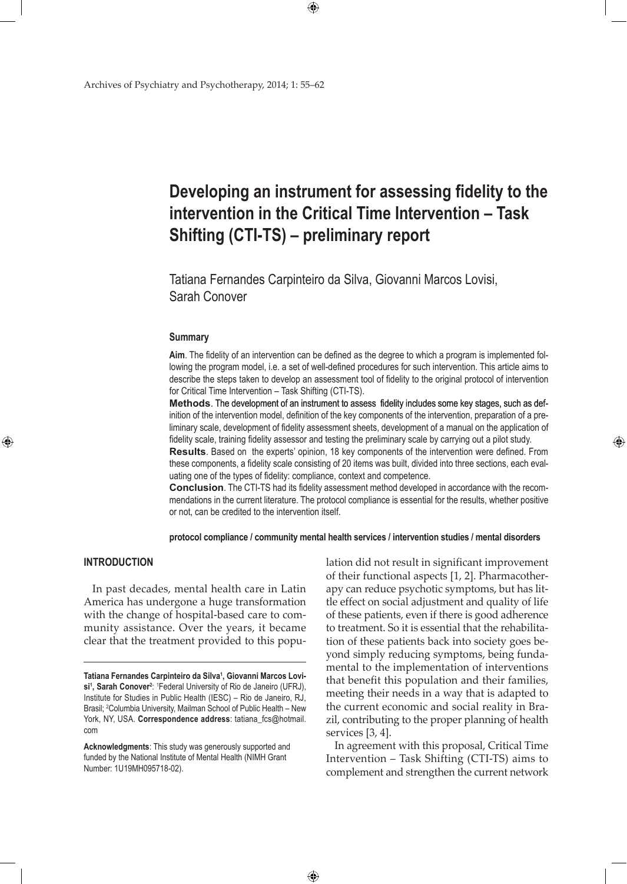# **Developing an instrument for assessing fidelity to the intervention in the Critical Time Intervention – Task Shifting (CTI-TS) – preliminary report**

Tatiana Fernandes Carpinteiro da Silva, Giovanni Marcos Lovisi, Sarah Conover

 $\bigoplus$ 

### **Summary**

**Aim**. The fidelity of an intervention can be defined as the degree to which a program is implemented following the program model, i.e. a set of well-defined procedures for such intervention. This article aims to describe the steps taken to develop an assessment tool of fidelity to the original protocol of intervention for Critical Time Intervention – Task Shifting (CTI-TS).

**Methods**. The development of an instrument to assess fidelity includes some key stages, such as definition of the intervention model, definition of the key components of the intervention, preparation of a preliminary scale, development of fidelity assessment sheets, development of a manual on the application of fidelity scale, training fidelity assessor and testing the preliminary scale by carrying out a pilot study.

**Results**. Based on the experts' opinion, 18 key components of the intervention were defined. From these components, a fidelity scale consisting of 20 items was built, divided into three sections, each evaluating one of the types of fidelity: compliance, context and competence.

**Conclusion**. The CTI-TS had its fidelity assessment method developed in accordance with the recommendations in the current literature. The protocol compliance is essential for the results, whether positive or not, can be credited to the intervention itself.

**protocol compliance / community mental health services / intervention studies / mental disorders** 

 $\bigoplus$ 

# **Introduction**

⊕

In past decades, mental health care in Latin America has undergone a huge transformation with the change of hospital-based care to community assistance. Over the years, it became clear that the treatment provided to this population did not result in significant improvement of their functional aspects [1, 2]. Pharmacotherapy can reduce psychotic symptoms, but has little effect on social adjustment and quality of life of these patients, even if there is good adherence to treatment. So it is essential that the rehabilitation of these patients back into society goes beyond simply reducing symptoms, being fundamental to the implementation of interventions that benefit this population and their families, meeting their needs in a way that is adapted to the current economic and social reality in Brazil, contributing to the proper planning of health services [3, 4].

⊕

In agreement with this proposal, Critical Time Intervention – Task Shifting (CTI-TS) aims to complement and strengthen the current network

**Tatiana Fernandes Carpinteiro da Silva1 , Giovanni Marcos Lovisi1 , Sarah Conover2** : 1 Federal University of Rio de Janeiro (UFRJ), Institute for Studies in Public Health (IESC) – Rio de Janeiro, RJ, Brasil; <sup>2</sup>Columbia University, Mailman School of Public Health - New York, NY, USA. **Correspondence address**: tatiana\_fcs@hotmail. com

**Acknowledgments**: This study was generously supported and funded by the National Institute of Mental Health (NIMH Grant Number: 1U19MH095718-02).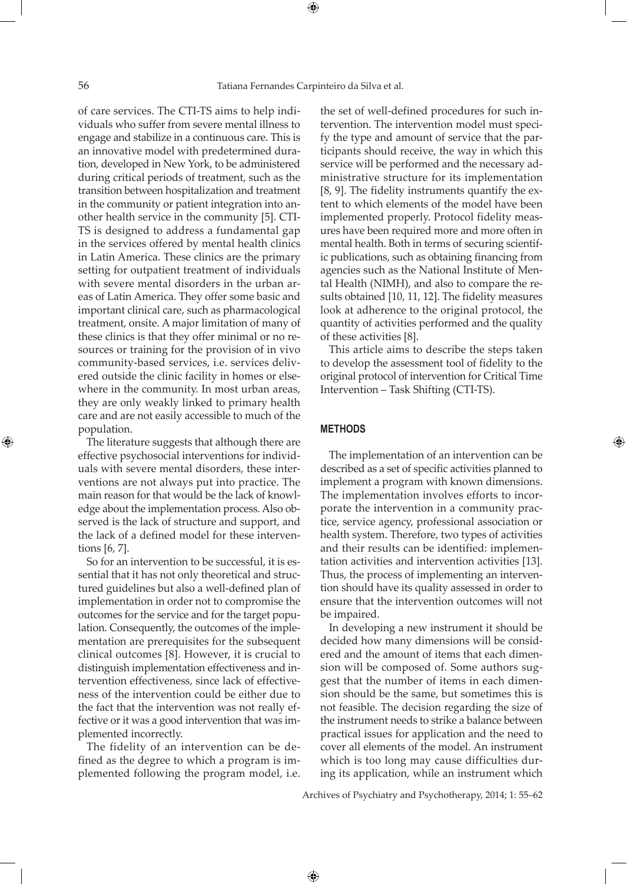of care services. The CTI-TS aims to help individuals who suffer from severe mental illness to engage and stabilize in a continuous care. This is an innovative model with predetermined duration, developed in New York, to be administered during critical periods of treatment, such as the transition between hospitalization and treatment in the community or patient integration into another health service in the community [5]. CTI-TS is designed to address a fundamental gap in the services offered by mental health clinics in Latin America. These clinics are the primary setting for outpatient treatment of individuals with severe mental disorders in the urban areas of Latin America. They offer some basic and important clinical care, such as pharmacological treatment, onsite. A major limitation of many of these clinics is that they offer minimal or no resources or training for the provision of in vivo community-based services, i.e. services delivered outside the clinic facility in homes or elsewhere in the community. In most urban areas, they are only weakly linked to primary health care and are not easily accessible to much of the population.

The literature suggests that although there are effective psychosocial interventions for individuals with severe mental disorders, these interventions are not always put into practice. The main reason for that would be the lack of knowledge about the implementation process. Also observed is the lack of structure and support, and the lack of a defined model for these interventions [6, 7].

So for an intervention to be successful, it is essential that it has not only theoretical and structured guidelines but also a well-defined plan of implementation in order not to compromise the outcomes for the service and for the target population. Consequently, the outcomes of the implementation are prerequisites for the subsequent clinical outcomes [8]. However, it is crucial to distinguish implementation effectiveness and intervention effectiveness, since lack of effectiveness of the intervention could be either due to the fact that the intervention was not really effective or it was a good intervention that was implemented incorrectly.

The fidelity of an intervention can be defined as the degree to which a program is implemented following the program model, i.e.

the set of well-defined procedures for such intervention. The intervention model must specify the type and amount of service that the participants should receive, the way in which this service will be performed and the necessary administrative structure for its implementation [8, 9]. The fidelity instruments quantify the extent to which elements of the model have been implemented properly. Protocol fidelity measures have been required more and more often in mental health. Both in terms of securing scientific publications, such as obtaining financing from agencies such as the National Institute of Mental Health (NIMH), and also to compare the results obtained [10, 11, 12]. The fidelity measures look at adherence to the original protocol, the quantity of activities performed and the quality of these activities [8].

This article aims to describe the steps taken to develop the assessment tool of fidelity to the original protocol of intervention for Critical Time Intervention – Task Shifting (CTI-TS).

#### **Methods**

 $\bigoplus$ 

The implementation of an intervention can be described as a set of specific activities planned to implement a program with known dimensions. The implementation involves efforts to incorporate the intervention in a community practice, service agency, professional association or health system. Therefore, two types of activities and their results can be identified: implementation activities and intervention activities [13]. Thus, the process of implementing an intervention should have its quality assessed in order to ensure that the intervention outcomes will not be impaired.

In developing a new instrument it should be decided how many dimensions will be considered and the amount of items that each dimension will be composed of. Some authors suggest that the number of items in each dimension should be the same, but sometimes this is not feasible. The decision regarding the size of the instrument needs to strike a balance between practical issues for application and the need to cover all elements of the model. An instrument which is too long may cause difficulties during its application, while an instrument which

Archives of Psychiatry and Psychotherapy, 2014; 1: 55–62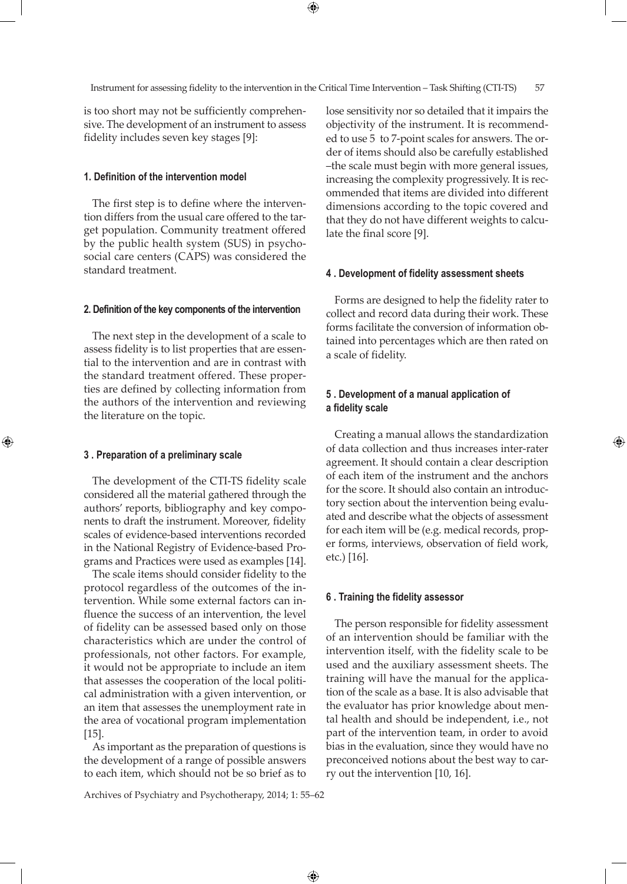⊕

is too short may not be sufficiently comprehensive. The development of an instrument to assess fidelity includes seven key stages [9]:

# **1. Definition of the intervention model**

The first step is to define where the intervention differs from the usual care offered to the target population. Community treatment offered by the public health system (SUS) in psychosocial care centers (CAPS) was considered the standard treatment.

## **2. Definition of the key components of the intervention**

The next step in the development of a scale to assess fidelity is to list properties that are essential to the intervention and are in contrast with the standard treatment offered. These properties are defined by collecting information from the authors of the intervention and reviewing the literature on the topic.

#### **3 . Preparation of a preliminary scale**

⊕

The development of the CTI-TS fidelity scale considered all the material gathered through the authors' reports, bibliography and key components to draft the instrument. Moreover, fidelity scales of evidence-based interventions recorded in the National Registry of Evidence-based Programs and Practices were used as examples [14].

The scale items should consider fidelity to the protocol regardless of the outcomes of the intervention. While some external factors can influence the success of an intervention, the level of fidelity can be assessed based only on those characteristics which are under the control of professionals, not other factors. For example, it would not be appropriate to include an item that assesses the cooperation of the local political administration with a given intervention, or an item that assesses the unemployment rate in the area of vocational program implementation [15].

As important as the preparation of questions is the development of a range of possible answers to each item, which should not be so brief as to lose sensitivity nor so detailed that it impairs the objectivity of the instrument. It is recommended to use 5 to 7-point scales for answers. The order of items should also be carefully established –the scale must begin with more general issues, increasing the complexity progressively. It is recommended that items are divided into different dimensions according to the topic covered and that they do not have different weights to calculate the final score [9].

#### **4 . Development of fidelity assessment sheets**

Forms are designed to help the fidelity rater to collect and record data during their work. These forms facilitate the conversion of information obtained into percentages which are then rated on a scale of fidelity.

# **5 . Development of a manual application of a fidelity scale**

Creating a manual allows the standardization of data collection and thus increases inter-rater agreement. It should contain a clear description of each item of the instrument and the anchors for the score. It should also contain an introductory section about the intervention being evaluated and describe what the objects of assessment for each item will be (e.g. medical records, proper forms, interviews, observation of field work, etc.) [16].

⊕

## **6 . Training the fidelity assessor**

The person responsible for fidelity assessment of an intervention should be familiar with the intervention itself, with the fidelity scale to be used and the auxiliary assessment sheets. The training will have the manual for the application of the scale as a base. It is also advisable that the evaluator has prior knowledge about mental health and should be independent, i.e., not part of the intervention team, in order to avoid bias in the evaluation, since they would have no preconceived notions about the best way to carry out the intervention [10, 16].

Archives of Psychiatry and Psychotherapy, 2014; 1: 55–62

 $\bigoplus$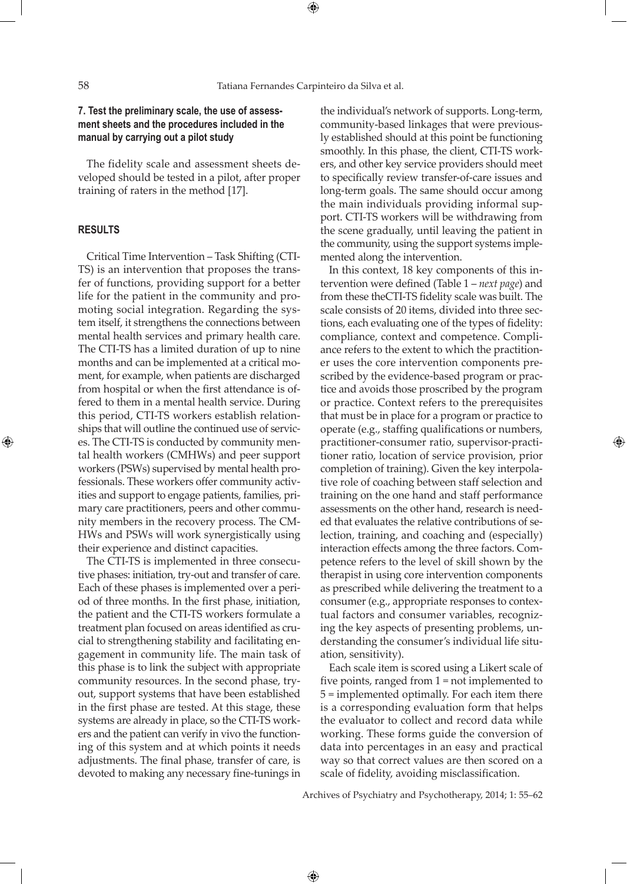⊕

# **7. Test the preliminary scale, the use of assessment sheets and the procedures included in the manual by carrying out a pilot study**

The fidelity scale and assessment sheets developed should be tested in a pilot, after proper training of raters in the method [17].

## **Results**

⊕

Critical Time Intervention – Task Shifting (CTI-TS) is an intervention that proposes the transfer of functions, providing support for a better life for the patient in the community and promoting social integration. Regarding the system itself, it strengthens the connections between mental health services and primary health care. The CTI-TS has a limited duration of up to nine months and can be implemented at a critical moment, for example, when patients are discharged from hospital or when the first attendance is offered to them in a mental health service. During this period, CTI-TS workers establish relationships that will outline the continued use of services. The CTI-TS is conducted by community mental health workers (CMHWs) and peer support workers (PSWs) supervised by mental health professionals. These workers offer community activities and support to engage patients, families, primary care practitioners, peers and other community members in the recovery process. The CM-HWs and PSWs will work synergistically using their experience and distinct capacities.

The CTI-TS is implemented in three consecutive phases: initiation, try-out and transfer of care. Each of these phases is implemented over a period of three months. In the first phase, initiation, the patient and the CTI-TS workers formulate a treatment plan focused on areas identified as crucial to strengthening stability and facilitating engagement in community life. The main task of this phase is to link the subject with appropriate community resources. In the second phase, tryout, support systems that have been established in the first phase are tested. At this stage, these systems are already in place, so the CTI-TS workers and the patient can verify in vivo the functioning of this system and at which points it needs adjustments. The final phase, transfer of care, is devoted to making any necessary fine-tunings in

the individual's network of supports. Long-term, community-based linkages that were previously established should at this point be functioning smoothly. In this phase, the client, CTI-TS workers, and other key service providers should meet to specifically review transfer-of-care issues and long-term goals. The same should occur among the main individuals providing informal support. CTI-TS workers will be withdrawing from the scene gradually, until leaving the patient in the community, using the support systems implemented along the intervention.

In this context, 18 key components of this intervention were defined (Table 1 – *next page*) and from these theCTI-TS fidelity scale was built. The scale consists of 20 items, divided into three sections, each evaluating one of the types of fidelity: compliance, context and competence. Compliance refers to the extent to which the practitioner uses the core intervention components prescribed by the evidence-based program or practice and avoids those proscribed by the program or practice. Context refers to the prerequisites that must be in place for a program or practice to operate (e.g., staffing qualifications or numbers, practitioner-consumer ratio, supervisor-practitioner ratio, location of service provision, prior completion of training). Given the key interpolative role of coaching between staff selection and training on the one hand and staff performance assessments on the other hand, research is needed that evaluates the relative contributions of selection, training, and coaching and (especially) interaction effects among the three factors. Competence refers to the level of skill shown by the therapist in using core intervention components as prescribed while delivering the treatment to a consumer (e.g., appropriate responses to contextual factors and consumer variables, recognizing the key aspects of presenting problems, understanding the consumer's individual life situation, sensitivity).

Each scale item is scored using a Likert scale of five points, ranged from 1 = not implemented to 5 = implemented optimally. For each item there is a corresponding evaluation form that helps the evaluator to collect and record data while working. These forms guide the conversion of data into percentages in an easy and practical way so that correct values are then scored on a scale of fidelity, avoiding misclassification.

Archives of Psychiatry and Psychotherapy, 2014; 1: 55–62

 $\bigoplus$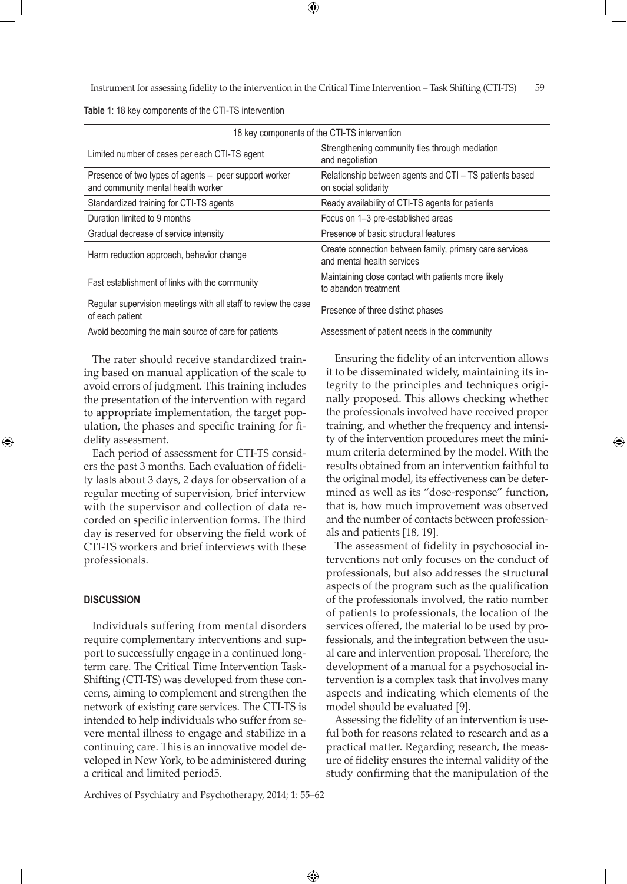Instrument for assessing fidelity to the intervention in the Critical Time Intervention – Task Shifting (CTI-TS) 59

**Table 1**: 18 key components of the CTI-TS intervention

| 18 key components of the CTI-TS intervention                                                |                                                                                       |
|---------------------------------------------------------------------------------------------|---------------------------------------------------------------------------------------|
| Limited number of cases per each CTI-TS agent                                               | Strengthening community ties through mediation<br>and negotiation                     |
| Presence of two types of agents - peer support worker<br>and community mental health worker | Relationship between agents and CTI - TS patients based<br>on social solidarity       |
| Standardized training for CTI-TS agents                                                     | Ready availability of CTI-TS agents for patients                                      |
| Duration limited to 9 months                                                                | Focus on 1-3 pre-established areas                                                    |
| Gradual decrease of service intensity                                                       | Presence of basic structural features                                                 |
| Harm reduction approach, behavior change                                                    | Create connection between family, primary care services<br>and mental health services |
| Fast establishment of links with the community                                              | Maintaining close contact with patients more likely<br>to abandon treatment           |
| Regular supervision meetings with all staff to review the case<br>of each patient           | Presence of three distinct phases                                                     |
| Avoid becoming the main source of care for patients                                         | Assessment of patient needs in the community                                          |

The rater should receive standardized training based on manual application of the scale to avoid errors of judgment. This training includes the presentation of the intervention with regard to appropriate implementation, the target population, the phases and specific training for fidelity assessment.

Each period of assessment for CTI-TS considers the past 3 months. Each evaluation of fidelity lasts about 3 days, 2 days for observation of a regular meeting of supervision, brief interview with the supervisor and collection of data recorded on specific intervention forms. The third day is reserved for observing the field work of CTI-TS workers and brief interviews with these professionals.

## **Discussion**

⊕

Individuals suffering from mental disorders require complementary interventions and support to successfully engage in a continued longterm care. The Critical Time Intervention Task-Shifting (CTI-TS) was developed from these concerns, aiming to complement and strengthen the network of existing care services. The CTI-TS is intended to help individuals who suffer from severe mental illness to engage and stabilize in a continuing care. This is an innovative model developed in New York, to be administered during a critical and limited period5.

Ensuring the fidelity of an intervention allows it to be disseminated widely, maintaining its integrity to the principles and techniques originally proposed. This allows checking whether the professionals involved have received proper training, and whether the frequency and intensity of the intervention procedures meet the minimum criteria determined by the model. With the results obtained from an intervention faithful to the original model, its effectiveness can be determined as well as its "dose-response" function, that is, how much improvement was observed and the number of contacts between professionals and patients [18, 19].

The assessment of fidelity in psychosocial interventions not only focuses on the conduct of professionals, but also addresses the structural aspects of the program such as the qualification of the professionals involved, the ratio number of patients to professionals, the location of the services offered, the material to be used by professionals, and the integration between the usual care and intervention proposal. Therefore, the development of a manual for a psychosocial intervention is a complex task that involves many aspects and indicating which elements of the model should be evaluated [9].

Assessing the fidelity of an intervention is useful both for reasons related to research and as a practical matter. Regarding research, the measure of fidelity ensures the internal validity of the study confirming that the manipulation of the

Archives of Psychiatry and Psychotherapy, 2014; 1: 55–62

 $\bigoplus$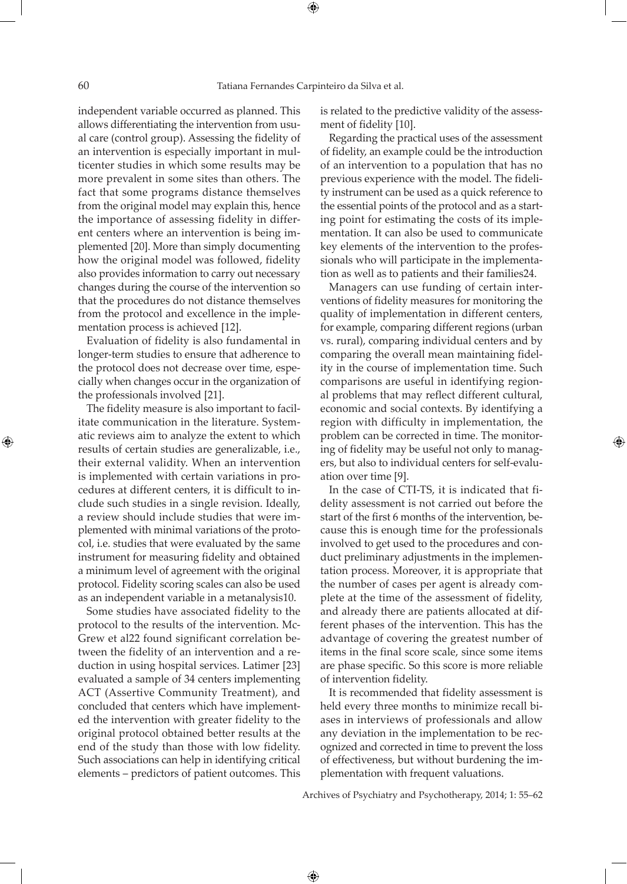independent variable occurred as planned. This allows differentiating the intervention from usual care (control group). Assessing the fidelity of an intervention is especially important in multicenter studies in which some results may be more prevalent in some sites than others. The fact that some programs distance themselves from the original model may explain this, hence the importance of assessing fidelity in different centers where an intervention is being implemented [20]. More than simply documenting how the original model was followed, fidelity also provides information to carry out necessary changes during the course of the intervention so that the procedures do not distance themselves from the protocol and excellence in the implementation process is achieved [12].

Evaluation of fidelity is also fundamental in longer-term studies to ensure that adherence to the protocol does not decrease over time, especially when changes occur in the organization of the professionals involved [21].

The fidelity measure is also important to facilitate communication in the literature. Systematic reviews aim to analyze the extent to which results of certain studies are generalizable, i.e., their external validity. When an intervention is implemented with certain variations in procedures at different centers, it is difficult to include such studies in a single revision. Ideally, a review should include studies that were implemented with minimal variations of the protocol, i.e. studies that were evaluated by the same instrument for measuring fidelity and obtained a minimum level of agreement with the original protocol. Fidelity scoring scales can also be used as an independent variable in a metanalysis10.

Some studies have associated fidelity to the protocol to the results of the intervention. Mc-Grew et al22 found significant correlation between the fidelity of an intervention and a reduction in using hospital services. Latimer [23] evaluated a sample of 34 centers implementing ACT (Assertive Community Treatment), and concluded that centers which have implemented the intervention with greater fidelity to the original protocol obtained better results at the end of the study than those with low fidelity. Such associations can help in identifying critical elements – predictors of patient outcomes. This

is related to the predictive validity of the assessment of fidelity [10].

Regarding the practical uses of the assessment of fidelity, an example could be the introduction of an intervention to a population that has no previous experience with the model. The fidelity instrument can be used as a quick reference to the essential points of the protocol and as a starting point for estimating the costs of its implementation. It can also be used to communicate key elements of the intervention to the professionals who will participate in the implementation as well as to patients and their families24.

Managers can use funding of certain interventions of fidelity measures for monitoring the quality of implementation in different centers, for example, comparing different regions (urban vs. rural), comparing individual centers and by comparing the overall mean maintaining fidelity in the course of implementation time. Such comparisons are useful in identifying regional problems that may reflect different cultural, economic and social contexts. By identifying a region with difficulty in implementation, the problem can be corrected in time. The monitoring of fidelity may be useful not only to managers, but also to individual centers for self-evaluation over time [9].

In the case of CTI-TS, it is indicated that fidelity assessment is not carried out before the start of the first 6 months of the intervention, because this is enough time for the professionals involved to get used to the procedures and conduct preliminary adjustments in the implementation process. Moreover, it is appropriate that the number of cases per agent is already complete at the time of the assessment of fidelity, and already there are patients allocated at different phases of the intervention. This has the advantage of covering the greatest number of items in the final score scale, since some items are phase specific. So this score is more reliable of intervention fidelity.

It is recommended that fidelity assessment is held every three months to minimize recall biases in interviews of professionals and allow any deviation in the implementation to be recognized and corrected in time to prevent the loss of effectiveness, but without burdening the implementation with frequent valuations.

Archives of Psychiatry and Psychotherapy, 2014; 1: 55–62

 $\bigoplus$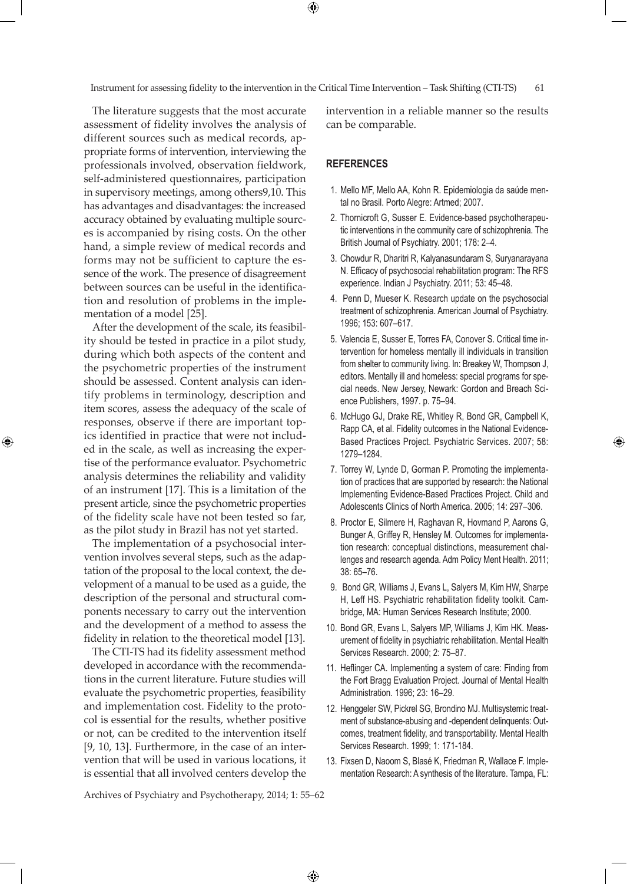Instrument for assessing fidelity to the intervention in the Critical Time Intervention – Task Shifting (CTI-TS) 61

 $\bigoplus$ 

The literature suggests that the most accurate assessment of fidelity involves the analysis of different sources such as medical records, appropriate forms of intervention, interviewing the professionals involved, observation fieldwork, self-administered questionnaires, participation in supervisory meetings, among others9,10. This has advantages and disadvantages: the increased accuracy obtained by evaluating multiple sources is accompanied by rising costs. On the other hand, a simple review of medical records and forms may not be sufficient to capture the essence of the work. The presence of disagreement between sources can be useful in the identification and resolution of problems in the implementation of a model [25].

After the development of the scale, its feasibility should be tested in practice in a pilot study, during which both aspects of the content and the psychometric properties of the instrument should be assessed. Content analysis can identify problems in terminology, description and item scores, assess the adequacy of the scale of responses, observe if there are important topics identified in practice that were not included in the scale, as well as increasing the expertise of the performance evaluator. Psychometric analysis determines the reliability and validity of an instrument [17]. This is a limitation of the present article, since the psychometric properties of the fidelity scale have not been tested so far, as the pilot study in Brazil has not yet started.

⊕

The implementation of a psychosocial intervention involves several steps, such as the adaptation of the proposal to the local context, the development of a manual to be used as a guide, the description of the personal and structural components necessary to carry out the intervention and the development of a method to assess the fidelity in relation to the theoretical model [13].

The CTI-TS had its fidelity assessment method developed in accordance with the recommendations in the current literature. Future studies will evaluate the psychometric properties, feasibility and implementation cost. Fidelity to the protocol is essential for the results, whether positive or not, can be credited to the intervention itself [9, 10, 13]. Furthermore, in the case of an intervention that will be used in various locations, it is essential that all involved centers develop the

intervention in a reliable manner so the results can be comparable.

## **References**

- 1. Mello MF, Mello AA, Kohn R. Epidemiologia da saúde mental no Brasil. Porto Alegre: Artmed; 2007.
- 2. Thornicroft G, Susser E. Evidence-based psychotherapeutic interventions in the community care of schizophrenia. The British Journal of Psychiatry. 2001; 178: 2–4.
- 3. Chowdur R, Dharitri R, Kalyanasundaram S, Suryanarayana N. Efficacy of psychosocial rehabilitation program: The RFS experience. Indian J Psychiatry. 2011; 53: 45–48.
- 4. Penn D, Mueser K. Research update on the psychosocial treatment of schizophrenia. American Journal of Psychiatry. 1996; 153: 607–617.
- 5. Valencia E, Susser E, Torres FA, Conover S. Critical time intervention for homeless mentally ill individuals in transition from shelter to community living. In: Breakey W, Thompson J, editors. Mentally ill and homeless: special programs for special needs. New Jersey, Newark: Gordon and Breach Science Publishers, 1997. p. 75–94.
- 6. McHugo GJ, Drake RE, Whitley R, Bond GR, Campbell K, Rapp CA, et al. Fidelity outcomes in the National Evidence-Based Practices Project. Psychiatric Services. 2007; 58: 1279–1284.
- 7. Torrey W, Lynde D, Gorman P. Promoting the implementation of practices that are supported by research: the National Implementing Evidence-Based Practices Project. Child and Adolescents Clinics of North America. 2005; 14: 297–306.
- 8. Proctor E, Silmere H, Raghavan R, Hovmand P, Aarons G, Bunger A, Griffey R, Hensley M. Outcomes for implementation research: conceptual distinctions, measurement challenges and research agenda. Adm Policy Ment Health. 2011; 38: 65–76.
- 9. Bond GR, Williams J, Evans L, Salyers M, Kim HW, Sharpe H, Leff HS. Psychiatric rehabilitation fidelity toolkit. Cambridge, MA: Human Services Research Institute; 2000.
- 10. Bond GR, Evans L, Salyers MP, Williams J, Kim HK. Measurement of fidelity in psychiatric rehabilitation. Mental Health Services Research. 2000; 2: 75–87.
- 11. Heflinger CA. Implementing a system of care: Finding from the Fort Bragg Evaluation Project. Journal of Mental Health Administration. 1996; 23: 16–29.
- 12. Henggeler SW, Pickrel SG, Brondino MJ. Multisystemic treatment of substance-abusing and -dependent delinquents: Outcomes, treatment fidelity, and transportability. Mental Health Services Research. 1999; 1: 171-184.
- 13. Fixsen D, Naoom S, Blasé K, Friedman R, Wallace F. Implementation Research: A synthesis of the literature. Tampa, FL:

Archives of Psychiatry and Psychotherapy, 2014; 1: 55–62

 $\bigoplus$